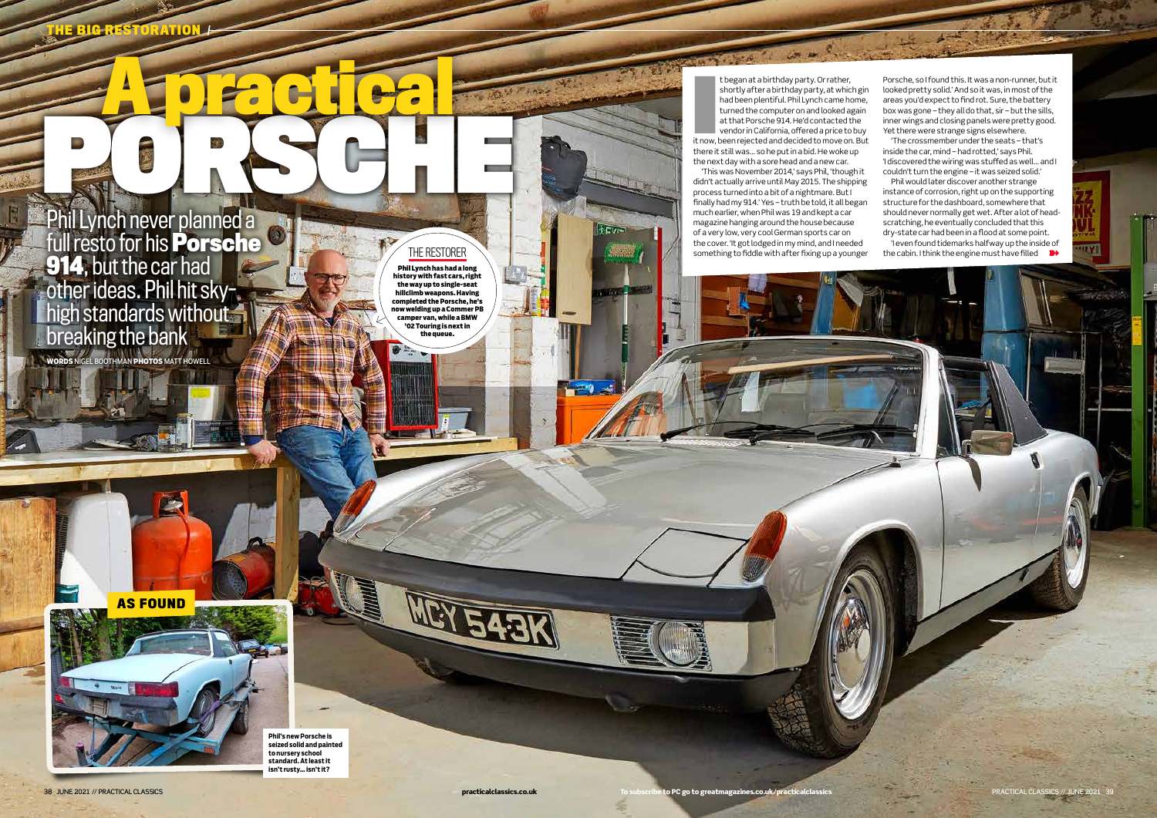**A practical**

**THE BIG RESTORATION**

t began at a birthday party. Or rather,<br>shortly after a birthday party, at which gin<br>had been plentiful. Phil Lynch came home,<br>turned the computer on and looked again<br>at that Porsche 914. He'd contacted the<br>vendor in Calif t began at a birthday party. Or rather, shortly after a birthday party, at which gin had been plentiful. Phil Lynch came home, turned the computer on and looked again at that Porsche 914. He'd contacted the vendor in California, offered a price to buy there it still was... so he put in a bid. He woke up the next day with a sore head and a new car.

'This was November 2014,' says Phil, 'though it didn't actually arrive until May 2015. The shipping process turned into a bit of a nightmare. But I finally had my 914.' Yes – truth be told, it all began much earlier, when Phil was 19 and kept a car magazine hanging around the house because of a very low, very cool German sports car on the cover. 'It got lodged in my mind, and I needed something to fiddle with after fixing up a younger

Porsche, so I found this. It was a non-runner, but it looked pretty solid.'And so it was, in most of the areas you'd expect to find rot. Sure, the battery box was gone – they all do that, sir – but the sills, inner wings and closing panels were pretty good. Yet there were strange signs elsewhere.

**WORDS** NIGEL BOOTHMAN **PHOTOS** MATT HOWELL PORT OF PORT Phil Lynch never planned a full resto for his **Porsche 914**, but the car had other ideas. Phil hit skyhigh standards without breaking the bank

'The crossmember under the seats – that's inside the car, mind – had rotted,' says Phil. 'I discovered the wiring was stuffed as well… and I couldn't turn the engine – it was seized solid.'

Phil would later discover another strange instance of corrosion, right up on the supporting structure for the dashboard, somewhere that should never normally get wet. After a lot of headscratching, he eventually concluded that this dry-state car had been in a flood at some point. 'I even found tidemarks halfway up the inside of

the cabin. I think the engine must have filled  $\rightarrow$ 

W

**AS FOUND**

**Phil's new Porsche is seized solid and painted to nursery school standard. At least it isn't rusty… isn't it?**

THE RESTORER Phil Lynch **has had a long history with fast cars, right the way up to single-seat hillclimb weapons. Having completed the Porsche, he's now welding up a Commer PB camper van, while a BMW '02 Touring is next in the queue.**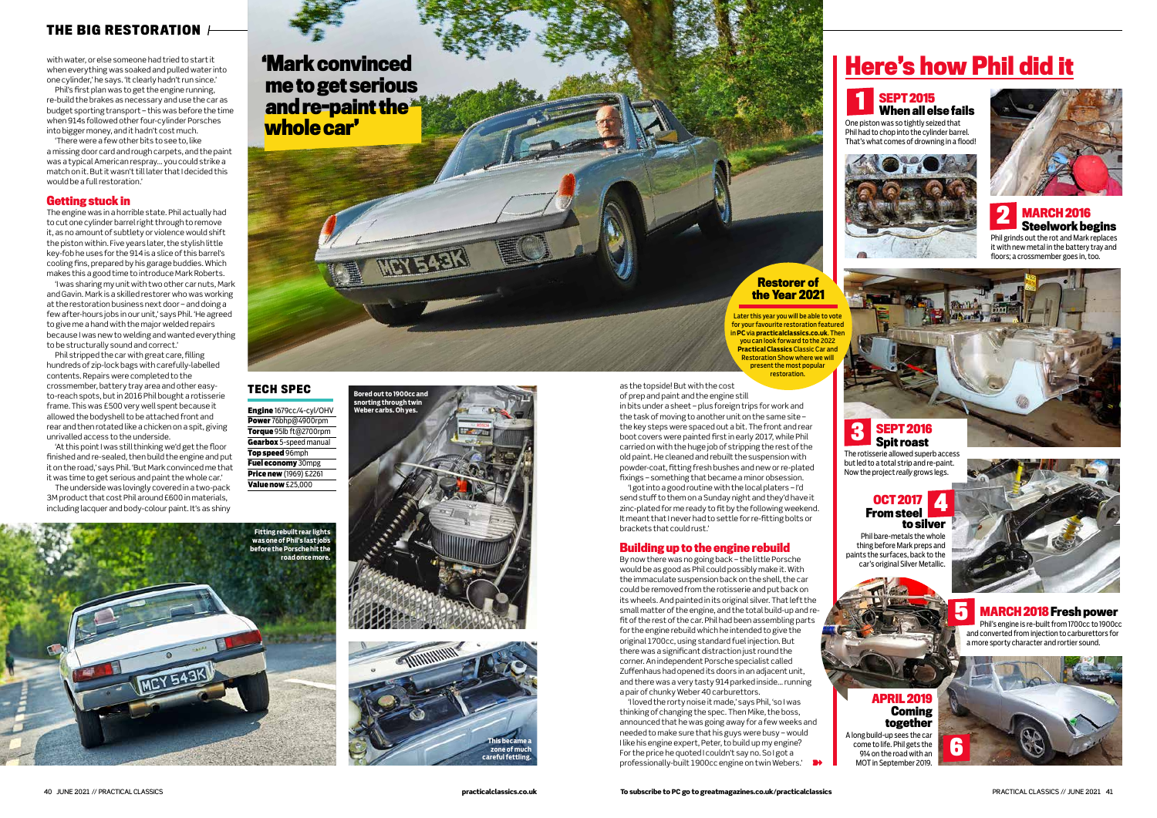

as the topside! But with the cost

of prep and paint and the engine still in bits under a sheet – plus foreign trips for work and the task of moving to another unit on the same site – the key steps were spaced out a bit. The front and rear boot covers were painted first in early 2017, while Phil carried on with the huge job of stripping the rest of the old paint.He cleaned and rebuilt the suspension with powder-coat, fitting fresh bushes and new or re-plated fixings – something that became a minor obsession.

'I got into a good routine with the local platers – I'd send stuff to them on a Sunday night and they'd have it zinc-plated for me ready to fit by the following weekend. It meant that I never had to settle for re-fitting bolts or brackets that could rust.'

'I loved the rorty noise it made,' says Phil, 'so I was thinking of changing the spec. Then Mike, the boss, announced that he was going away for a few weeks and needed to make sure that his guys were busy – would I like his engine expert, Peter, to build up my engine? For the price he quoted I couldn't say no. So I got a professionally-built 1900cc engine on twin Webers.'

### **Building up to the engine rebuild**

By now there was no going back – the little Porsche would be as good as Phil could possibly make it. With the immaculate suspension back on the shell, the car could be removed from the rotisserie and put back on its wheels. And painted in its original silver. That left the small matter of the engine, and the total build-up and refit of the rest of the car. Phil had been assembling parts for the engine rebuild which he intended to give the original 1700cc, using standard fuel injection. But there was a significant distraction just round the corner. An independent Porsche specialist called Zuffenhaus had opened its doors in an adjacent unit, and there was a very tasty 914 parked inside… running a pair of chunky Weber 40 carburettors.

# **THE BIG RESTORATION**

with water, or else someone had tried to start it when everything was soaked and pulled water into one cylinder,' he says. 'It clearly hadn't run since.'

Phil's first plan was to get the engine running, re-build the brakes as necessary and use the car as budget sporting transport – this was before the time when 914s followed other four-cylinder Porsches into bigger money, and it hadn't cost much.

'There were a few other bits to see to, like a missing door card and rough carpets, and the paint was a typical American respray… you could strike a match on it. But it wasn't till later that I decided this would be a full restoration.'

#### **Getting stuck in**

The engine was in a horrible state. Phil actually had to cut one cylinder barrel right through to remove it, as no amount of subtlety or violence would shift the piston within. Five years later, the stylish little key-fob he uses for the 914 is a slice of this barrel's cooling fins, prepared by his garage buddies. Which makes this a good time to introduce Mark Roberts.

'I was sharing my unit with two other car nuts, Mark and Gavin. Mark is a skilled restorer who was working at the restoration business next door – and doing a few after-hours jobs in our unit,' says Phil. 'He agreed to give me a hand with the major welded repairs because I was new to welding and wanted everything to be structurally sound and correct.'

Phil stripped the car with great care, filling hundreds of zip-lock bags with carefully-labelled contents. Repairs were completed to the crossmember, battery tray area and other easyto-reach spots, but in 2016 Phil bought a rotisserie frame. This was £500 very well spent because it allowed the bodyshell to be attached front and rear and then rotated like a chicken on a spit, giving unrivalled access to the underside.

'At this point I was still thinking we'd get the floor finished and re-sealed, then build the engine and put it on the road,' says Phil. 'But Mark convinced me that it was time to get serious and paint the whole car.'

The underside was lovingly covered in a two-pack 3M product that cost Phil around £600 in materials, including lacquer and body-colour paint. It's as shiny Engine 1679cc/4-cyl/OHV Power 76bhp@4900rpm Torque 95lb ft@2700rpm Gearbox 5-speed manual Top speed 96mph Fuel economy 30mpg **Price new** (1969) £2261 Value now £25,000

### **TECH SPEC**

# **Here's how Phil did it**

# **SEPT 2015**

# **When all else fails**

One piston was so tightly seized that Phil had to chop into the cylinder barrel. That's what comes of drowning in a flood!





Phil bare-metals the whole thing before Mark preps and paints the surfaces, back to the car's original Silver Metallic.



# **1**

#### **OCT 2017 From steel to silver 4**



Phil grinds out the rot and Mark replaces it with new metal in the battery tray and floors; a crossmember goes in, too.

**MARCH 2018 Fresh power** Phil's engine is re-built from 1700cc to 1900cc and converted from injection to carburettors for a more sporty character and rortier sound. **5**

# **APRIL 2019 Coming together**

A long build-up sees the car come to life. Phil gets the 914 on the road with an MOT in September 2019.

#### **SEPT 2016 Spit roast**

The rotisserie allowed superb access but led to a total strip and re-paint. Now the project *really* grows legs.

**3**



**'Mark convinced me to get serious and re-paint the whole car'**

> Later this year you will be able to vote for your favourite restoration featured in **PC** via **practicalclassics.co.uk**. Then you can look forward to the 2022 **Practical Classics** Classic Car and Restoration Show where we will present the most popula restoration.

#### **Restorer of the Year 2021**